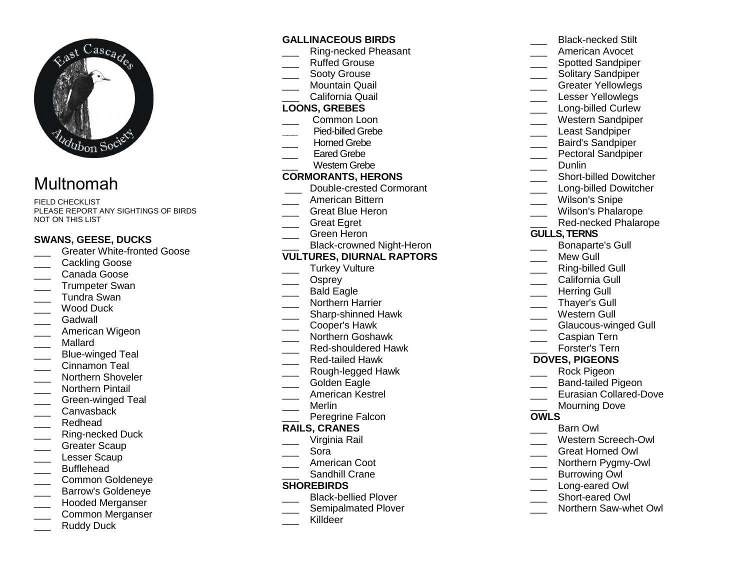

# Multnomah

FIELD CHECKLIST PLEASE REPORT ANY SIGHTINGS OF BIRDS NOT ON THIS LIST

## **SWANS, GEESE, DUCKS**

- **LETT** Greater White-fronted Goose
- Cackling Goose
- \_\_\_ Canada Goose
- \_\_\_ Trumpeter Swan \_\_\_ Tundra Swan
- \_\_\_ Wood Duck
- Gadwall
- \_\_\_ American Wigeon
- \_\_\_ Mallard
- \_\_\_ Blue-winged Teal
- \_\_\_ Cinnamon Teal
- \_\_\_\_ Northern Shoveler
- Northern Pintail
- \_\_\_ Green-winged Teal
- \_\_\_ Canvasback
- \_\_\_ Redhead
- \_\_\_ Ring-necked Duck
- Greater Scaup
- Lesser Scaup
- \_\_\_ Bufflehead
- \_\_\_ Common Goldeneye
- \_\_\_ Barrow's Goldeneye
- \_\_\_ Hooded Merganser
- \_\_\_ Common Merganser
- Ruddy Duck

# **GALLINACEOUS BIRDS**

- \_\_\_ Ring-necked Pheasant
- \_\_\_ Ruffed Grouse
- Sooty Grouse
- \_\_\_ Mountain Quail \_\_\_ California Quail

# **LOONS, GREBES**

- \_\_\_ Common Loon
- **\_\_\_** Pied-billed Grebe
- Horned Grebe
- Eared Grebe
- \_\_\_ Western Grebe

# **CORMORANTS, HERONS**

- \_\_\_ Double-crested Cormorant
- \_\_\_ American Bittern
- \_\_\_ Great Blue Heron
- \_\_\_ Great Egret
- \_\_\_ Green Heron
- \_\_\_ Black-crowned Night-Heron

# **VULTURES, DIURNAL RAPTORS**

- \_\_\_ Turkey Vulture
- \_\_\_ Osprey
- \_\_\_ Bald Eagle
- \_\_\_ Northern Harrier
- \_\_\_\_ Sharp-shinned Hawk
- \_\_\_ Cooper's Hawk
- \_\_\_ Northern Goshawk
- \_\_\_ Red-shouldered Hawk
- \_\_\_ Red-tailed Hawk
- \_\_\_ Rough-legged Hawk
- Golden Eagle
- \_\_\_ American Kestrel
- \_\_\_ Merlin
- \_\_\_ Peregrine Falcon

## **RAILS, CRANES**

- \_\_\_ Virginia Rail
- \_\_\_ Sora
- \_\_\_ American Coot
- \_\_\_ Sandhill Crane

## **SHOREBIRDS**

- \_\_\_\_ Black-bellied Plover
- \_\_\_\_ Semipalmated Plover
- Killdeer

\_\_\_ American Avocet \_\_\_\_ Spotted Sandpiper \_\_\_ Solitary Sandpiper \_\_\_ Greater Yellowlegs Lesser Yellowlegs \_\_\_\_ Long-billed Curlew \_\_\_ Western Sandpiper Least Sandpiper \_\_\_ Baird's Sandpiper \_\_\_ Pectoral Sandpiper Dunlin \_\_\_\_ Short-billed Dowitcher \_\_\_\_ Long-billed Dowitcher Wilson's Snipe \_\_\_ Wilson's Phalarope \_\_\_ Red-necked Phalarope **GULLS, TERNS** \_\_\_ Bonaparte's Gull Mew Gull \_\_\_ Ring-billed Gull California Gull Herring Gull \_\_\_ Thayer's Gull \_\_\_ Western Gull \_\_\_ Glaucous-winged Gull \_\_\_ Caspian Tern \_\_\_ Forster's Tern

\_\_\_ Black-necked Stilt

# **DOVES, PIGEONS**

- \_\_\_ Rock Pigeon
- \_\_\_\_ Band-tailed Pigeon
- \_\_\_ Eurasian Collared-Dove
- Mourning Dove

## **OWLS**

- \_\_\_ Barn Owl
- \_\_\_ Western Screech-Owl
- \_\_\_ Great Horned Owl
- \_\_\_ Northern Pygmy-Owl
- Burrowing Owl
- \_\_\_ Long-eared Owl
- \_\_\_ Short-eared Owl
- \_\_\_ Northern Saw-whet Owl